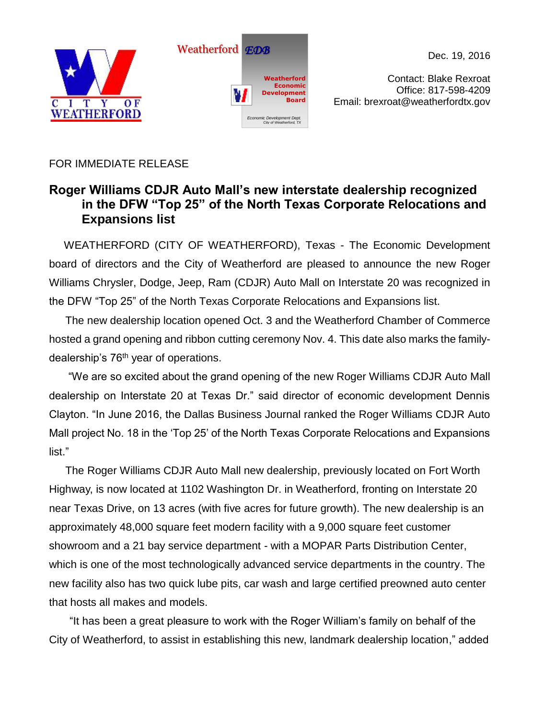



Dec. 19, 2016

Contact: Blake Rexroat Office: 817-598-4209 Email: brexroat@weatherfordtx.gov

## FOR IMMEDIATE RELEASE

## **Roger Williams CDJR Auto Mall's new interstate dealership recognized in the DFW "Top 25" of the North Texas Corporate Relocations and Expansions list**

 WEATHERFORD (CITY OF WEATHERFORD), Texas - The Economic Development board of directors and the City of Weatherford are pleased to announce the new Roger Williams Chrysler, Dodge, Jeep, Ram (CDJR) Auto Mall on Interstate 20 was recognized in the DFW "Top 25" of the North Texas Corporate Relocations and Expansions list.

The new dealership location opened Oct. 3 and the Weatherford Chamber of Commerce hosted a grand opening and ribbon cutting ceremony Nov. 4. This date also marks the familydealership's  $76<sup>th</sup>$  year of operations.

"We are so excited about the grand opening of the new Roger Williams CDJR Auto Mall dealership on Interstate 20 at Texas Dr." said director of economic development Dennis Clayton. "In June 2016, the Dallas Business Journal ranked the Roger Williams CDJR Auto Mall project No. 18 in the 'Top 25' of the North Texas Corporate Relocations and Expansions list."

The Roger Williams CDJR Auto Mall new dealership, previously located on Fort Worth Highway, is now located at 1102 Washington Dr. in Weatherford, fronting on Interstate 20 near Texas Drive, on 13 acres (with five acres for future growth). The new dealership is an approximately 48,000 square feet modern facility with a 9,000 square feet customer showroom and a 21 bay service department - with a MOPAR Parts Distribution Center, which is one of the most technologically advanced service departments in the country. The new facility also has two quick lube pits, car wash and large certified preowned auto center that hosts all makes and models.

"It has been a great pleasure to work with the Roger William's family on behalf of the City of Weatherford, to assist in establishing this new, landmark dealership location," added